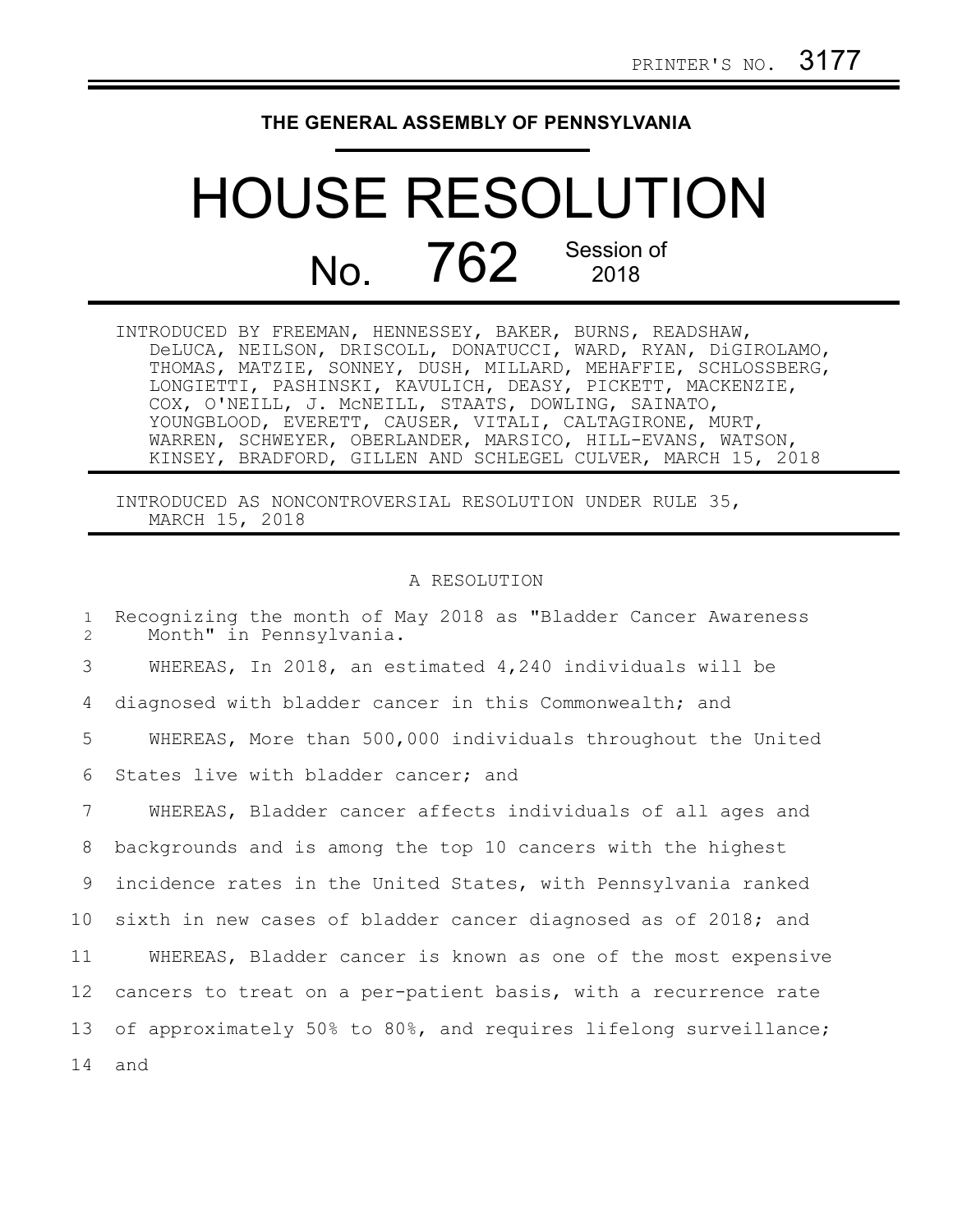## **THE GENERAL ASSEMBLY OF PENNSYLVANIA**

## HOUSE RESOLUTION No. 762 Session of

| INTRODUCED BY FREEMAN, HENNESSEY, BAKER, BURNS, READSHAW,     |
|---------------------------------------------------------------|
| DeLUCA, NEILSON, DRISCOLL, DONATUCCI, WARD, RYAN, DiGIROLAMO, |
| THOMAS, MATZIE, SONNEY, DUSH, MILLARD, MEHAFFIE, SCHLOSSBERG, |
| LONGIETTI, PASHINSKI, KAVULICH, DEASY, PICKETT, MACKENZIE,    |
| COX, O'NEILL, J. MCNEILL, STAATS, DOWLING, SAINATO,           |
| YOUNGBLOOD, EVERETT, CAUSER, VITALI, CALTAGIRONE, MURT,       |
| WARREN, SCHWEYER, OBERLANDER, MARSICO, HILL-EVANS, WATSON,    |
| KINSEY, BRADFORD, GILLEN AND SCHLEGEL CULVER, MARCH 15, 2018  |

INTRODUCED AS NONCONTROVERSIAL RESOLUTION UNDER RULE 35, MARCH 15, 2018

## A RESOLUTION

Recognizing the month of May 2018 as "Bladder Cancer Awareness Month" in Pennsylvania. WHEREAS, In 2018, an estimated 4,240 individuals will be diagnosed with bladder cancer in this Commonwealth; and WHEREAS, More than 500,000 individuals throughout the United States live with bladder cancer; and WHEREAS, Bladder cancer affects individuals of all ages and backgrounds and is among the top 10 cancers with the highest incidence rates in the United States, with Pennsylvania ranked sixth in new cases of bladder cancer diagnosed as of 2018; and WHEREAS, Bladder cancer is known as one of the most expensive cancers to treat on a per-patient basis, with a recurrence rate of approximately 50% to 80%, and requires lifelong surveillance; and 1 2 3 4 5 6 7 8 9 10 11 12 13 14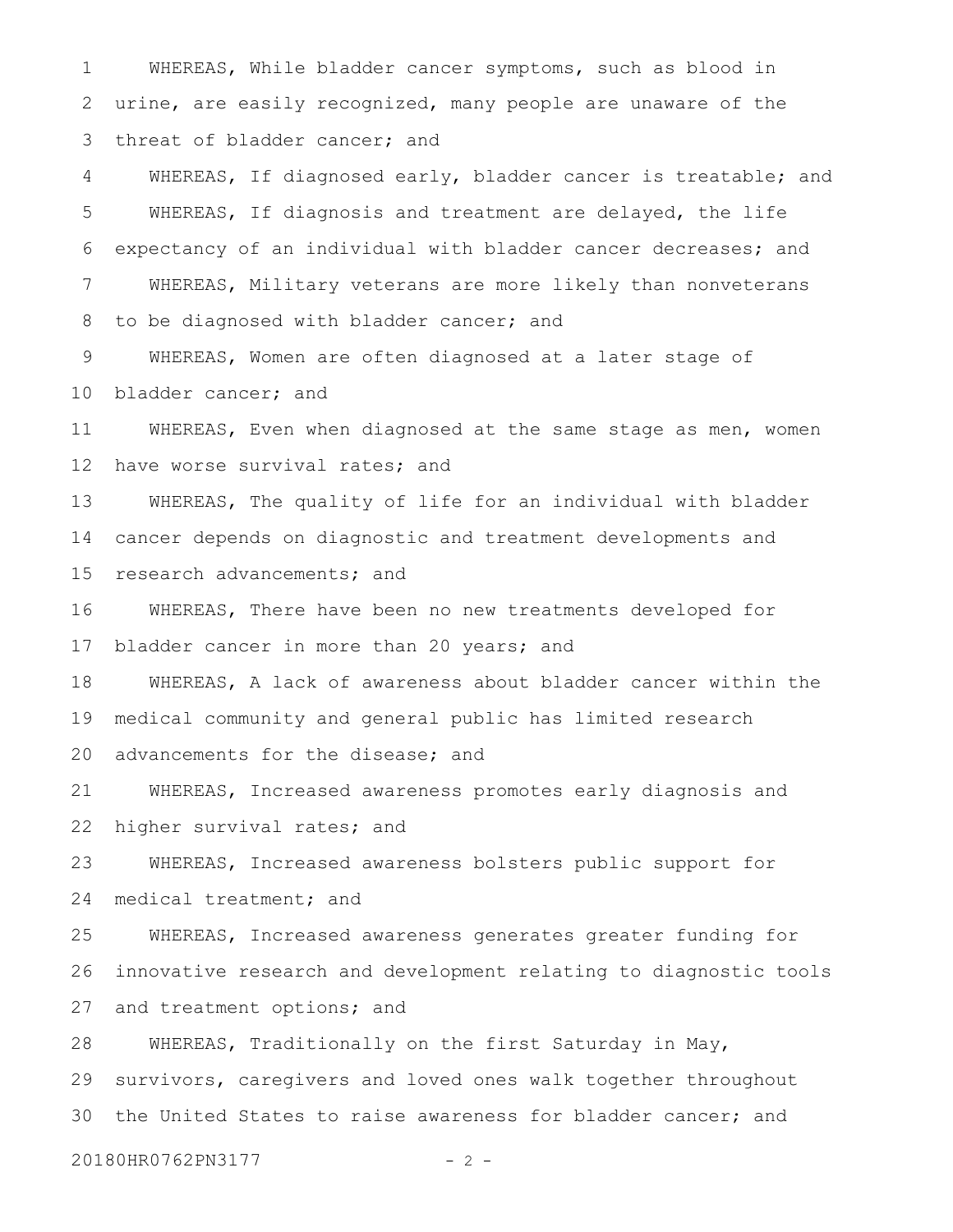WHEREAS, While bladder cancer symptoms, such as blood in urine, are easily recognized, many people are unaware of the threat of bladder cancer; and 1 2 3

WHEREAS, If diagnosed early, bladder cancer is treatable; and WHEREAS, If diagnosis and treatment are delayed, the life expectancy of an individual with bladder cancer decreases; and WHEREAS, Military veterans are more likely than nonveterans to be diagnosed with bladder cancer; and 4 5 6 7 8

WHEREAS, Women are often diagnosed at a later stage of bladder cancer; and 9 10

WHEREAS, Even when diagnosed at the same stage as men, women have worse survival rates; and 11 12

WHEREAS, The quality of life for an individual with bladder cancer depends on diagnostic and treatment developments and research advancements; and 13 14 15

WHEREAS, There have been no new treatments developed for bladder cancer in more than 20 years; and 16 17

WHEREAS, A lack of awareness about bladder cancer within the medical community and general public has limited research advancements for the disease; and 18 19 20

WHEREAS, Increased awareness promotes early diagnosis and higher survival rates; and 21 22

WHEREAS, Increased awareness bolsters public support for medical treatment; and 23 24

WHEREAS, Increased awareness generates greater funding for innovative research and development relating to diagnostic tools and treatment options; and 25 26 27

WHEREAS, Traditionally on the first Saturday in May, survivors, caregivers and loved ones walk together throughout the United States to raise awareness for bladder cancer; and 28 29 30

20180HR0762PN3177 - 2 -